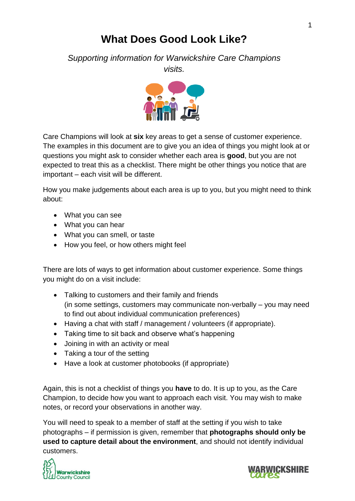# **What Does Good Look Like?**

*Supporting information for Warwickshire Care Champions*

*visits.*



Care Champions will look at **six** key areas to get a sense of customer experience. The examples in this document are to give you an idea of things you might look at or questions you might ask to consider whether each area is **good**, but you are not expected to treat this as a checklist. There might be other things you notice that are important – each visit will be different.

How you make judgements about each area is up to you, but you might need to think about:

- What you can see
- What you can hear
- What you can smell, or taste
- How you feel, or how others might feel

There are lots of ways to get information about customer experience. Some things you might do on a visit include:

- Talking to customers and their family and friends (in some settings, customers may communicate non-verbally – you may need to find out about individual communication preferences)
- Having a chat with staff / management / volunteers (if appropriate).
- Taking time to sit back and observe what's happening
- Joining in with an activity or meal
- Taking a tour of the setting
- Have a look at customer photobooks (if appropriate)

Again, this is not a checklist of things you **have** to do. It is up to you, as the Care Champion, to decide how you want to approach each visit. You may wish to make notes, or record your observations in another way.

You will need to speak to a member of staff at the setting if you wish to take photographs – if permission is given, remember that **photographs should only be used to capture detail about the environment**, and should not identify individual customers.



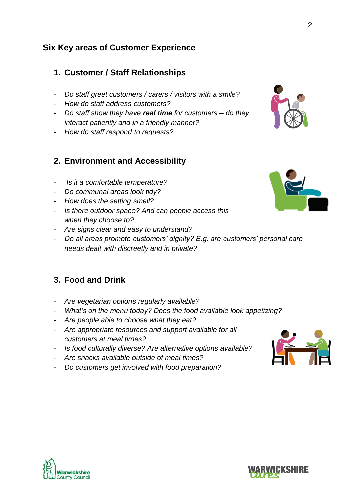#### **Six Key areas of Customer Experience**

#### **1. Customer / Staff Relationships**

- *Do staff greet customers / carers / visitors with a smile?*
- *How do staff address customers?*
- *Do staff show they have real time for customers – do they interact patiently and in a friendly manner?*
- *How do staff respond to requests?*

#### **2. Environment and Accessibility**

- *Is it a comfortable temperature?*
- *Do communal areas look tidy?*
- *How does the setting smell?*
- *Is there outdoor space? And can people access this when they choose to?*
- *Are signs clear and easy to understand?*
- *Do all areas promote customers' dignity? E.g. are customers' personal care needs dealt with discreetly and in private?*

### **3. Food and Drink**

- *Are vegetarian options regularly available?*
- *What's on the menu today? Does the food available look appetizing?*
- *Are people able to choose what they eat?*
- *Are appropriate resources and support available for all customers at meal times?*
- *Is food culturally diverse? Are alternative options available?*
- *Are snacks available outside of meal times?*
- *Do customers get involved with food preparation?*